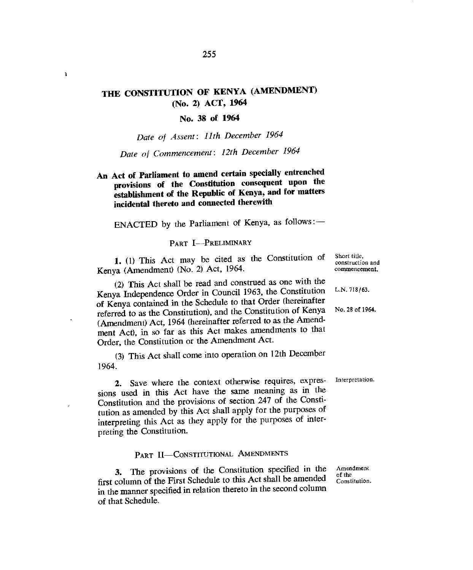# **THE CONSTITUTION OF KENYA (AMENDMENT) (No. 2) ACT, 1964**

 $\mathbf{r}$ 

## **No. 38 of 1964**

*Date of Assent: 11th December 1964* 

*Date of Commencement: 12th December 1964* 

**An Act of Parliament to amend certain specially entrenched provisions of the Constitution consequent upon the establishment of the Republic of Kenya, and for matters incidental thereto and connected therewith** 

ENACTED by the Parliament of Kenya, as follows :-

## PART I—PRELIMINARY

**1.** (1) This Act may be cited as the Constitution of Kenya (Amendment) (No. 2) Act, 1964.

(2) This Act shall be read and construed as one with the Kenya Independence Order in Council 1963, the Constitution of Kenya contained in the Schedule to that Order (hereinafter referred to as the Constitution), and the Constitution of Kenya (Amendment) Act, 1964 (hereinafter referred to as the Amendment Act), in so far as this Act makes amendments to that Order, the Constitution or the Amendment Act.

(3) This Act shall come into operation on 12th December 1964.

**2.** Save where the context otherwise requires, expressions used in this Act have the same meaning as in the Constitution and the provisions of section 247 of the Constitution as amended by this Act shall apply for the purposes of interpreting this Act as they apply for the purposes of interpreting the Constitution.

PART II—CONSTITUTIONAL AMENDMENTS

**3.** The provisions of the Constitution specified in the first column of the First Schedule to this Act shall be amended in the manner specified in relation thereto in the second column of that Schedule.

Short title, construction and commencement.

U.N. 718/63.

No. 28 of 1964.

Interpretation.

Amendment of the Constitution.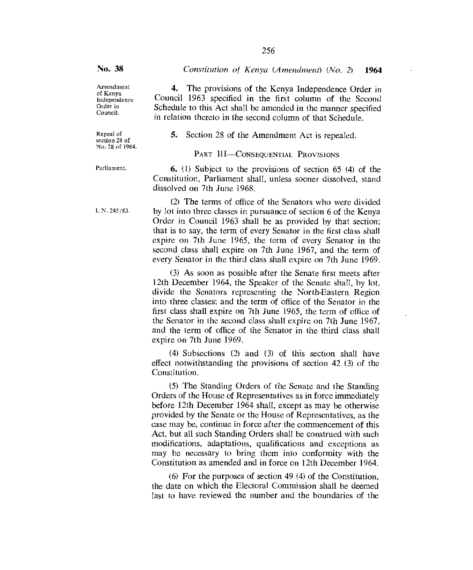4. The provisions of the Kenya Independence Order in Council 1963 specified in the first column of the Second Schedule to this Act shall be amended in the manner specified in relation thereto in the second column of that Schedule.

Amendment of Kenya Independence Order in Council.

Repeal of section 28 of No. 28 of 1964. 5. Section 28 of the Amendment Act is repealed.

PART III-CONSEQUENTIAL PROVISIONS

Constitution, Parliament shall, unless sooner dissolved, stand

Parliament. 6. (1) Subject to the provisions of section 65 (4) of the

dissolved on 7th June 1968. (2) The terms of office of the Senators who were divided  $L.N.245/63.$  by lot into three classes in pursuance of section 6 of the Kenya

Order in Council 1963 shall be as provided by that section; that is to say, the term of every Senator in the first class shall expire on 7th June 1965, the term of every Senator in the second class shall expire on 7th June 1967, and the term of every Senator in the third class shall expire on 7th June 1969.

(3) As soon as possible after the Senate first meets after 12th December 1964, the Speaker of the Senate shall, by lot, divide the Senators representing the North-Eastern Region into three classes; and the term of office of the Senator in the first class shall expire on 7th June 1965, the term of office of the Senator in the second class shall expire on 7th June 1967, and the term of office of the Senator in the third class shall expire on 7th June 1969.

(4) Subsections (2) and (3) of this section shall have effect notwithstanding the provisions of section 42 (3) of the Constitution.

(5) The Standing Orders of the Senate and the Standing Orders of the House of Representatives as in force immediately before 12th December 1964 shall, except as may be otherwise provided by the Senate or the House of Representatives, as the case may be, continue in force after the commencement of this Act, but all such Standing Orders shall be construed with such modifications, adaptations, qualifications and exceptions as may be necessary to bring them into conformity with the Constitution as amended and in force on 12th December 1964.

(6) For the purposes of section 49 (4) of the Constitution, the date on which the Electoral Commission shall be deemed last to have reviewed the number and the boundaries of the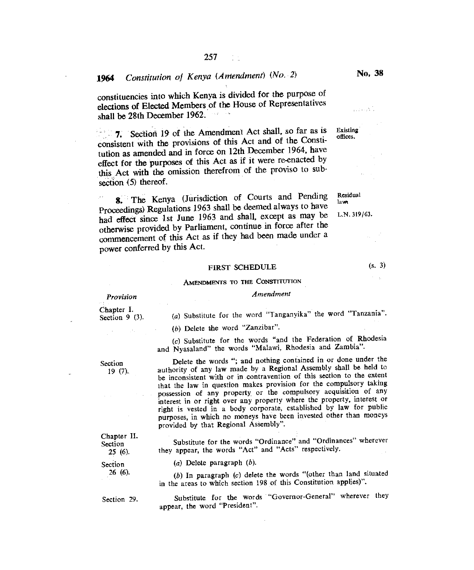constituencies into which Kenya is divided for the purpose of elections of Elected Members of the House of Representatives shall be 28th December 1962. a an

7. Section 19 of the Amendment Act shall, so far as is Existing offices. consistent with the provisions of this Act and of the Constitution as amended and in force on 12th December 1964, have effect for the purposes of this Act as if it were re-enacted by this Act with the omission therefrom of the proviso to subsection (5) thereof.

8. The Kenya (Jurisdiction of Courts and Pending Residual Proceedings) Regulations 1963 shall be deemed always to have had effect since 1st June 1963 and shall, except as may be L.N. 319/63. otherwise provided by Parliament, continue in force after the commencement of this Act as if they had been made under a power conferred by this Act.

## FIRST SCHEDULE (s. 3)

## AMENDMENTS TO THE CONSTITUTION

*Provision* 

Chapter I. Section 9 (3).

(a) Substitute for the word "Tanganyika" the word "Tanzania".

*Amendment* 

(b) Delete the word "Zanzibar".

(c) Substitute for the words "and the Federation of Rhodesia and Nyasaland" the words "Malawi, Rhodesia and Zambia".

Section Delete the words "; and nothing contained in or done under the 19 (7). authority of any law made by a Regional Assembly shall be held to authority of any law made by a Regional Assembly shall be held to be inconsistent with or in contravention of this section to the extent that the law in question makes provision for the compulsory taking possession of any property, or the compulsory acquisition of any interest in or right over any property where the property, interest or right is vested in a body corporate, established by law for public purposes, in which no moneys have been invested other than moneys provided by that Regional Assembly".

Chapter II.

Substitute for the words "Ordinance" and "Ordinances" wherever<br>25 (6). they appear, the words "Act" and "Acts" respectively. they appear, the words "Act" and "Acts" respectively.

Section *(a)* Delete paragraph *(b)*.<br>26 (6). *(b)* In generation *(c)* delay

26 (6). *(b)* In paragraph *(c)* delete the words "(other than land situated in the areas to which section 198 of this Constitution applies)".

Section 29. Substitute for the words "Governor-General" wherever they appear, the word "President".

وأنكرت فالمناو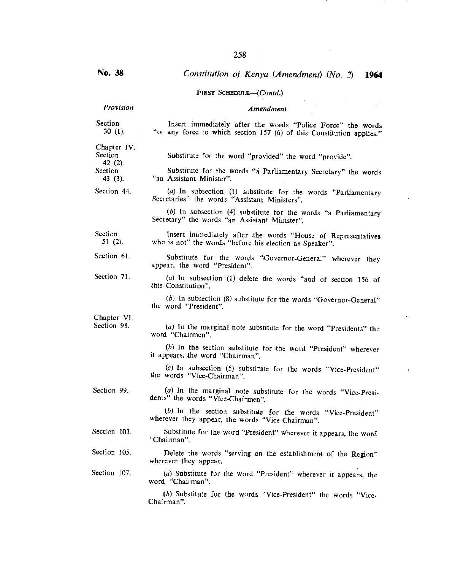FIRST SCHEDULE—(Contd.) *Provision Amendment*  Section Insert immediately after the words "Police Force" the words 30 (1). <br>
The "or any force to which section 157 (6) of this Constitution applies" "or any force to which section 157 (6) of this Constitution applies." Chapter IV.<br>Section Substitute for the word "provided" the word "provide". 42 (2). Section Substitute for the words "a Parliamentary Secretary" the words 43 (3). The Assistant Minister". "an Assistant Minister". Section 44. (a) In subsection (1) substitute for the words "Parliamentary Secretaries" the words "Assistant Ministers". *(b)* In subsection (4) substitute for the words "a Parliamentary Secretary" the words "an Assistant Minister". Insert immediately after the words "House of Representatives who is not" the words "before his election as Speaker". Substitute for the words "Governor-General" wherever they appear, the word "President". (a) In subsection (1) delete the words "and of section 156 of this Constitution". (b) In subsection (8) substitute for the words "Governor-General" the word "President". (a) In the marginal note substitute for the word "Presidents" the word "Chairmen". (b) In the section substitute for the word "President" wherever it appears, the word "Chairman". Section 51 (2). Section 61. Section 71. Chapter VI. Section 98.

> (c) In subsection (5) substitute for the words "Vice-President" the words "Vice-Chairman".

(a) In the marginal note substitute for the words "Vice-Presidents" the words "Vice-Chairmen".

(b) In the section substitute for the words "Vice-President" wherever they appear, the words "Vice-Chairman".

- Substitute for the word "President" wherever it appears, the word "Chairman". Section 103.
- Delete the words "serving on the establishment of the Region" wherever they appear. Section 105.

(a) Substitute for the word "President" wherever it appears, the word "Chairman". Section 107.

> (b) Substitute for the words "Vice-President" the words "Vice-Chairman".

# No. 38 *Constitution of Kenya (Amendment) (No. 2) 1964*

Section 99.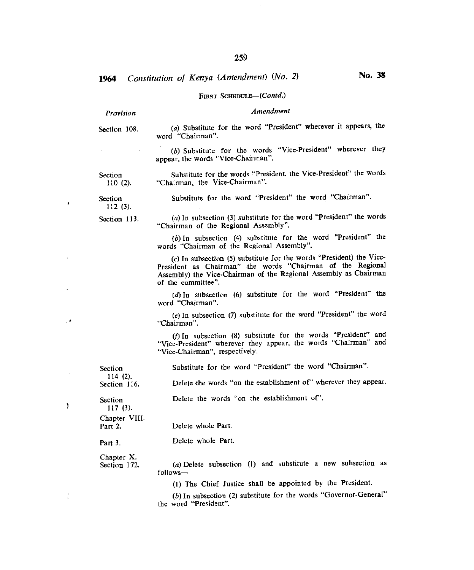### FIRST *SCHEDULE—(Contd.)*

## *Provision Amendment*

Section 108. (a) Substitute for the word "President" wherever it appears, the word "Chairman".

> *(b)* Substitute for the words "Vice-President" wherever they appear, the words "Vice-Chairman".

Section Substitute for the words "President, the Vice-President" the words 110 (2). "Chairman, the Vice-Chairman".

**Section** 112 (3).

÷.

Section 113.

(a)In subsection (3) substitute for the word "President" the words "Chairman of the Regional Assembly".

Substitute for the word "President" the word "Chairman".

(b)In subsection (4) substitute for the word "President" the words "Chairman of the Regional Assembly".

 $(c)$  In subsection (5) substitute for the words "President) the Vice-President as Chairman" the words "Chairman of the Regional Assembly) the Vice-Chairman of the Regional Assembly as Chairman of the committee".

(d)In subsection (6) substitute for the word "President" the word "Chairman".

(e)In subsection (7) substitute for the word "President" the word "Chairman".

(f) In subsection (8) substitute for the words "President" and "Vice-President" wherever they appear, the words "Chairman" and "Vice-Chairman", respectively.

114 (2).<br>Section 116.

Section Substitute for the word "President" the word "Chairman".

Delete the words "on the establishment of" wherever they appear.

Section Delete the words "on the establishment of".

117 (3). Chapter VIII.

Chapter X.

Delete whole Part.

Part 3. Delete whole Part.

Section 172. (a)Delete subsection (1) and substitute a new subsection as follows—

(1) The Chief Justice shall be appointed by the President.

(b)In subsection (2) substitute for the words "Governor-General" the word "President".

ţ

Ŷ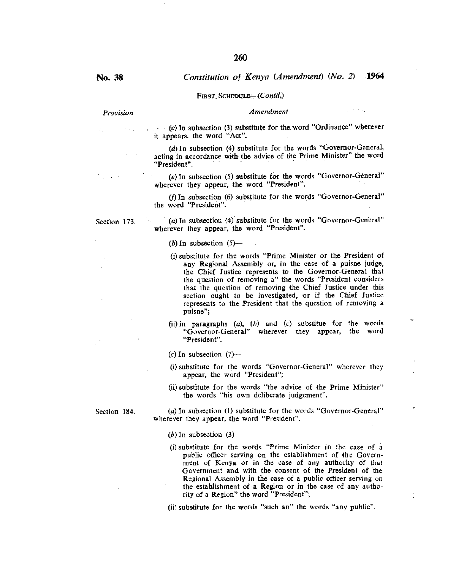#### FIRST SCHEDULE-(Contd.)

### Provision **Amendment**

 $\sim 1.1\,\mathrm{eV}$ 

ţ

(c) In subsection (3) substitute for the word "Ordinance" wherever it appears, the word "Act".

> (d) In subsection (4) substitute for the words "Governor-General, acting in accordance with the advice of the Prime Minister" the word "President".

> (e)In subsection (5) substitute for the words "Governor-General" wherever they appear, the word "President".

> (f)In subsection (6) substitute for the words "Governor-General" the word "President".

Section 173. (a) In subsection (4) substitute for the words "Governor-General" wherever they appear, the word "President".

(b) In subsection  $(5)$ —

- (i)substitute for the words "Prime Minister or the President of any Regional Assembly or, in the case of a puisne judge, the Chief Justice represents to the Governor-General that the question of removing a" the words "President considers that the question of removing the Chief Justice under this section ought to be investigated, or if the Chief Justice represents to the President that the question of removing a puisne";
- (ii)in paragraphs (a), (b) and *(c)* substitue for the words "Governor-General" wherever they appear, the word "President".

(c) In subsection  $(7)$ —

- (i)substitute for the words "Governor-General" wherever they appear, the word "President";
- (ii)substitute for the words "the advice of the Prime Minister" the words "his own deliberate judgement".

Section 184. (a) In subsection (1) substitute for the words "Governor-General" wherever they appear, the word "President".

(b) In subsection  $(3)$ —

(i)substitute for the words "Prime Minister in the case of a public officer serving on the establishment of the Government of Kenya or in the case of any authority of that Government and with the consent of the President of the Regional Assembly in the case of a public officer serving on the establishment of a Region or in the case of any authority of a Region" the word "President";

(ii)substitute for the words "such an" the words "any public".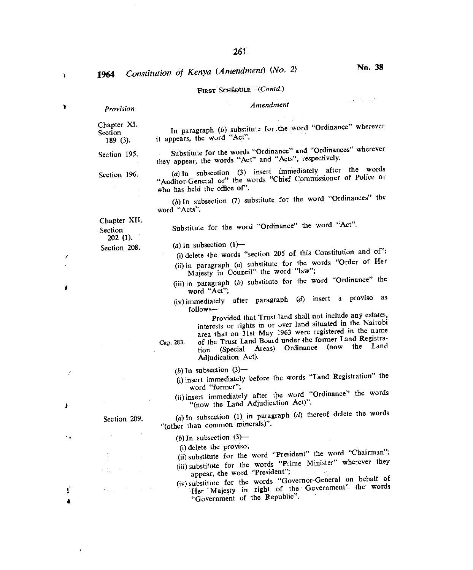$\mathbf{r}$ 

 $\mathbf{v}$ 

f.

đ

 $\ddot{\phantom{a}}$ 

Ť

FIRST SCHEDULE—(Contd.)  $\frac{1}{2} \frac{1}{2} \frac{1}{2} \frac{1}{2} \frac{1}{2} \frac{1}{2} \frac{1}{2} \frac{1}{2} \frac{1}{2} \frac{1}{2} \frac{1}{2}$ *Provision Amendment*  Chapter Xl. Section In paragraph (b) substitute for the word "Ordinance" wherever<br>189 (3), it appears, the word "Act". it appears, the word "Act". Section 195. Substitute for the words "Ordinance" and "Ordinances" wherever they appear, the words "Act" and "Acts", respectively. Section 196. (a) In subsection (3) insert immediately after the words "Auditor-General or" the words "Chief Commissioner of Police or who has held the office of". (b) In subsection (7) substitute for the word "Ordinances" the word "Acts". Chapter XII. Substitute for the word "Ordinance" the word "Act". Section 202 (I). (a) In subsection  $(1)$ — Section 208. (i) delete the words "section 205 of this Constitution and of"; (ii)in paragraph (a) substitute for the words "Order of Her Majesty in Council" the word "law"; (iii)in paragraph *(b)* substitute for the word "Ordinance" the word "Act"; (iv)immediately after paragraph *(d)* insert a proviso as follows— Provided that Trust land shall not include any estates, interests or rights in or over land situated in the Nairobi area that on 31st May 1963 were registered in the name Cap. 283. of the Trust Land Board under the former Land Registration (Special Areas) Ordinance (now the Land Adjudication Act).  $(b)$  In subsection  $(3)$ — (i)insert immediately before the words "Land Registration" the word "former"; (ii)insert immediately after the word "Ordinance" the words "(now the Land Adjudication Act)". (a)In subsection (1) in paragraph *(d)* thereof delete the words Section 209. "(other than common minerals)". (b) In subsection  $(3)$ -(i) delete the proviso; (ii)substitute for the word "President" the word "Chairman"; (iii) substitute for the words "Prime Minister" wherever they appear, the word "President"; (iv)substitute for the words "Governor-General on behalf of Her Majesty in right of the Government" the words "Government of the Republic".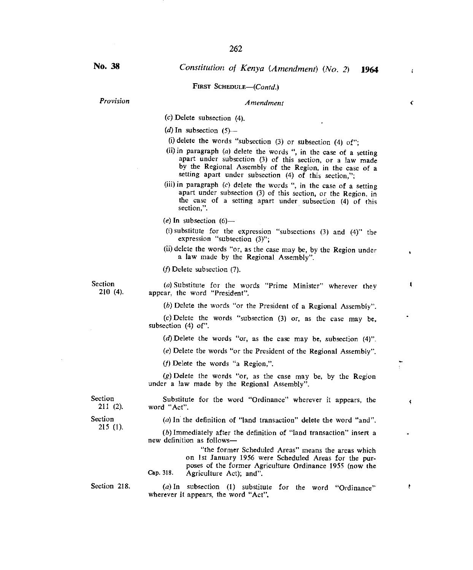### FIRST SCHEDULE—(Contd.)

*Provision Amendment* 

(c) Delete subsection (4).

(d) In subsection  $(5)$ —

- (i) delete the words "subsection  $(3)$  or subsection  $(4)$  of";
- (ii)in paragraph *(a)* delete the words ", in the case of a setting apart under subsection (3) of this section, or a law made by the Regional Assembly of the Region, in the case of a setting apart under subsection  $(4)$  of this section,";
- (iii) in paragraph (c) delete the words ", in the case of a setting apart under subsection (3) of this section, or the Region, in the case of a setting apart under subsection (4) of this section,".

*(e)* In subsection (6)—

- (i) substitute for the expression "subsections  $(3)$  and  $(4)$ " the expression "subsection (3)";
- (ii) delete the words "or, as the case may be, by the Region under a law made by the Regional Assembly".

*(f)* Delete subsection (7).

Section *(a)* Substitute for the words "Prime Minister" wherever they 210 (4). annear the word "President" appear, the word "President".

(b) Delete the words "or the President of a Regional Assembly".

(c)Delete the words "subsection (3) or, as the case may be, subsection (4) of".

(d)Delete the words "or, as the case may be, subsection (4)".

(e)Delete the words "or the President of the Regional Assembly".

(f)Delete the words "a Region,".

 $(g)$  Delete the words "or, as the case may be, by the Region under a law made by the Regional Assembly".

Section Substitute for the word "Ordinance" wherever it appears, the 211 (2). word "Act". word "Act".

215 (1).

Section *(a)* In the definition of "land transaction" delete the word "and".

*(b)* Immediately after the definition of "land transaction" insert a new definition as follows—

"the former Scheduled Areas" means the areas which on 1st January 1956 were Scheduled Areas for the purposes of the former Agriculture Ordinance 1955 (now the Cap. 318. Agriculture Act); and".

Section 218. (a) In subsection (1) substitute for the word "Ordinance" wherever it appears, the word "Act".

 $\ddot{\phantom{a}}$ 

k

ŧ

 $\mathbf{r}$ 

c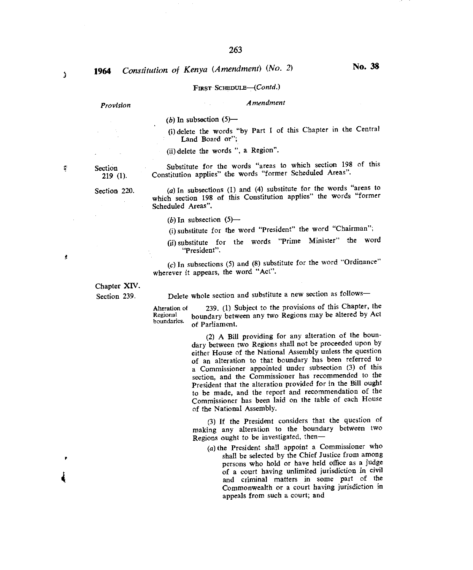# FIRST *SCHEDULE—(Contd.)*

## *Provision Amendment*

 $(b)$  In subsection  $(5)$ —

(i)delete the words "by Part I of this Chapter in the Central Land Board or";

(ii)delete the words ", a Region".

Section Substitute for the words "areas to which section 198 of this 219 (1). Constitution applies" the words "former Scheduled Areas". Constitution applies" the words "former Scheduled Areas".

Section 220.  $(a)$  In subsections (1) and (4) substitute for the words "areas to which section 198 of this Constitution applies" the words "former Scheduled Areas".

- (b) In subsection  $(5)$ —
- (i)substitute for the word "President" the word "Chairman";

(ii)substitute for the words "Prime Minister" the word "President".

*(c)* In subsections (5) and (8) substitute for the word "Ordinance" wherever it appears, the word "Act".

Chapter XIV.

Section 239. Delete whole section and substitute a new section as follows—

Alteration of 239. (1) Subject to the provisions of this Chapter, the Regional boundary between any two Regions may be altered by Act Regional boundary between any two Regions may be altered by Act boundaries. of Parliament.

> (2) A Bill providing for any alteration of the boundary between two Regions shall not be proceeded upon by either House of the National Assembly unless the question of an alteration to that boundary has been referred to a Commissioner appointed under subsection *(3)* of this section, and the Commissioner has recommended to the President that the alteration provided for in the Bill ought to be made, and the report and recommendation of the Commissioner has been laid on the table of each House of the National Assembly.

> (3) If the President considers that the question of making any alteration to the boundary between two Regions ought to be investigated, then—

*(a)* the President shall appoint a Commissioner who shall be selected by the Chief Justice from among persons who hold or have held office as a judge of a court having unlimited jurisdiction in civil and criminal matters in some part of the Commonwealth or a court having jurisdiction in appeals from such a court; and

ż

Ş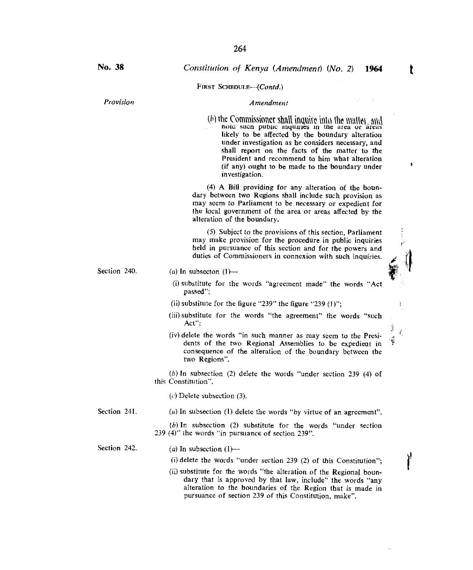FIRST SCHEDULE-(Contd.)

### *Provision Amendment*

*(b)* the Commissioner shall inquire into the matter and not such public inquiries in the area or areas likely to be affected by the boundary alteration under investigation as he considers necessary, and shall report on the facts of the matter to the President and recommend to him what alteration (if any) ought to be made to the boundary under investigation.

(4) A Bill providing for any alteration of the boundary between two Regions shall include such provision as may seem to Parliament to be necessary or expedient for the local government of the area or areas affected by the alteration of the boundary.

(5) Subject to the provisions of this section, Parliament may make provision for the procedure in public inquiries held in pursuance of this section and for the powers and duties of Commissioners in connexion with such inquiries.

### Section 240.  $(a)$  In subsecton  $(1)$ —

- (i)substitute for the words "agreement made" the words "Act passed";
- (ii) substitute for the figure "239" the figure "239  $(1)$ ":
- (iii) substitute for the words "the agreement" the words "such Act";
- (iv) delete the words "in such manner as may seem to the Presidents of the two Regional Assemblies to be expedient in consequence of the alteration of the boundary between the two Regions".

(b) In subsection (2) delete the words "under section 239 (4) of this Constitution".

 $(c)$  Delete subsection  $(3)$ .

Section 241. *(a)* In subsection (1) delete the words "by virtue of an agreement".

*(b)* In subsection (2) substitute for the words "under section 239 (4)" the words "in pursuance of section 239".

Section 242.  $(a)$  In subsection  $(1)$ —

(i) delete the words "under section 239 (2) of this Constitution";

(ii) substitute for the words "the alteration of the Regional boundary that is approved by that law, include" the words "any alteration to the boundaries of the Region that is made in pursuance of section 239 of this Constitution, make".

ı

Ţ

y

 $\sim$ ť Ş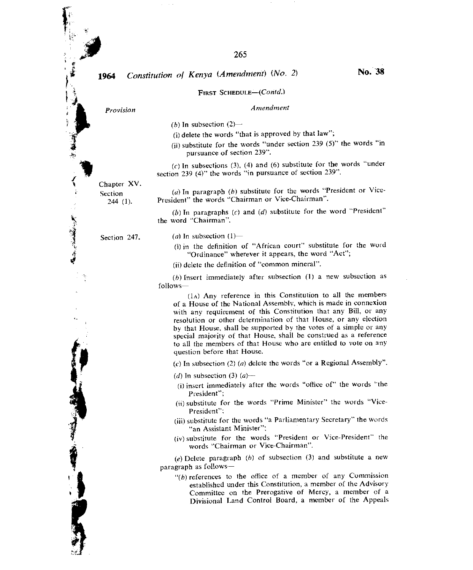### FIRST SCHEDULE—(Contd.)

# *Provision Amendment*

*(b)* In subsection  $(2)$ —

- (i) delete the words "that is approved by that law";
- (ii) substitute for the words "under section 239 (5)" the words "in pursuance of section 239".

*(c)* In subsections (3), (4) and (6) substitute for the words "under section 239 (4)" the words "in pursuance of section 239".

Chapter XV. Section

(a) In paragraph *(b)* substitute for the words "President or Vice-President" the words "Chairman or Vice-Chairman".

(b)In paragraphs *(c)* and *(d)* substitute for the word "President" the word "Chairman".

Section 247.  $(a)$  In subsection  $(1)$ —

(i) in the definition of "African court" substitute for the word "Ordinance" wherever it appears, the word "Act";

(ii) delete the definition of "common mineral".

(b) Insert immediately after subsection (1) a new subsection as follows—

(1A) Any reference in this Constitution to all the members of a House of the National Assembly, which is made in connexion with any requirement of this Constitution that any Bill, or any resolution or other determination of that House, or any election by that House, shall be supported by the votes of a simple or any special majority of that House, shall be construed as a reference to all the members of that House who are entitled to vote on any question before that House.

(c)In subsection (2) *(a)* delete the words "or a Regional Assembly".

(d) In subsection (3) *(a)—* 

- (i) insert immediately after the words "office of" the words "the President";
- (ii) substitute for the words "Prime Minister" the words "Vice-President";
- (iii) substitute for the words "a Parliamentary Secretary" the words "an Assistant Minister":
- (iv) substitute for the words "President or Vice-President" the words "Chairman or Vice-Chairman".

*(e)* Delete paragraph *(h)* of subsection *(3)* and substitute a new paragraph as follows *—* 

 $\lq\lq(b)$  references to the office of a member of any Commission established under this Constitution, a member of the Advisory Committee on the Prerogative of Mercy, a member of a Divisional Land Control Board, a member of the Appeals

244 (1).

● 「大学の大学の大学の大学の大学の大学の大学の大学の